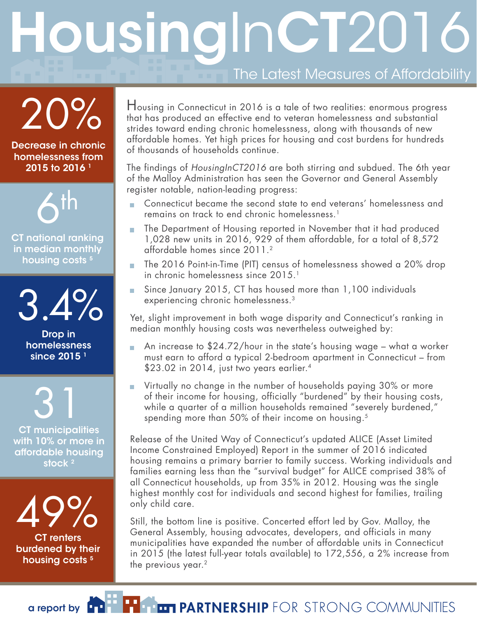# **The Latest Measures of Affordability** ousingInCT2016

20%

Decrease in chronic homelessness from 2015 to 2016 1



CT national ranking in median monthly housing costs<sup>5</sup>

3.4%

Drop in homelessness since  $2015<sup>1</sup>$ 

CT municipalities with 10% or more in affordable housing stock<sup>2</sup> 31

CT renters 49%

burdened by their housing costs<sup>5</sup>

Housing in Connecticut in 2016 is a tale of two realities: enormous progress that has produced an effective end to veteran homelessness and substantial strides toward ending chronic homelessness, along with thousands of new affordable homes. Yet high prices for housing and cost burdens for hundreds of thousands of households continue.

The findings of *HousingInCT2016* are both stirring and subdued. The 6th year of the Malloy Administration has seen the Governor and General Assembly register notable, nation-leading progress:

- **Connecticut became the second state to end veterans' homelessness and** remains on track to end chronic homelessness.1
- **The Department of Housing reported in November that it had produced** 1,028 new units in 2016, 929 of them affordable, for a total of 8,572 affordable homes since 2011.2
- The 2016 Point-in-Time (PIT) census of homelessness showed a 20% drop in chronic homelessness since 2015.<sup>1</sup>
- Since January 2015, CT has housed more than 1,100 individuals experiencing chronic homelessness.3

Yet, slight improvement in both wage disparity and Connecticut's ranking in median monthly housing costs was nevertheless outweighed by:

- An increase to  $$24.72/h$ our in the state's housing wage what a worker must earn to afford a typical 2-bedroom apartment in Connecticut – from \$23.02 in 2014, just two years earlier.4
- Virtually no change in the number of households paying 30% or more of their income for housing, officially "burdened" by their housing costs, while a quarter of a million households remained "severely burdened," spending more than 50% of their income on housing.<sup>5</sup>

Release of the United Way of Connecticut's updated ALICE (Asset Limited Income Constrained Employed) Report in the summer of 2016 indicated housing remains a primary barrier to family success. Working individuals and families earning less than the "survival budget" for ALICE comprised 38% of all Connecticut households, up from 35% in 2012. Housing was the single highest monthly cost for individuals and second highest for families, trailing only child care.

Still, the bottom line is positive. Concerted effort led by Gov. Malloy, the General Assembly, housing advocates, developers, and officials in many municipalities have expanded the number of affordable units in Connecticut in 2015 (the latest full-year totals available) to 172,556, a 2% increase from the previous year. $2$ 

**ET PARTNERSHIP** FOR STRONG COMMUNITIES

a report by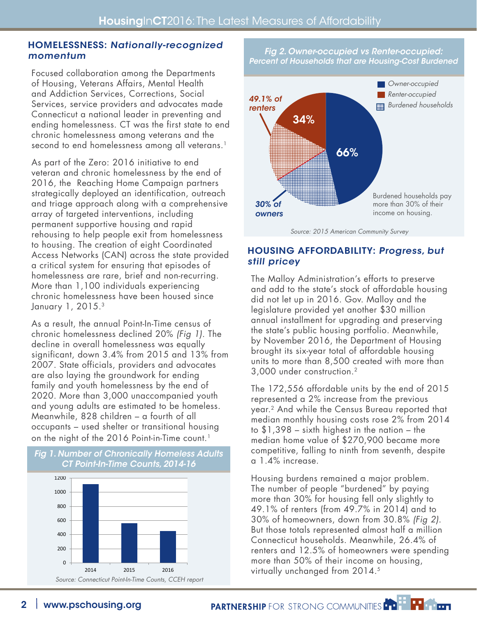#### Homelessness: Nationally-recognized momentum

Focused collaboration among the Departments of Housing, Veterans Affairs, Mental Health and Addiction Services, Corrections, Social Services, service providers and advocates made Connecticut a national leader in preventing and ending homelessness. CT was the first state to end chronic homelessness among veterans and the second to end homelessness among all veterans.<sup>1</sup>

As part of the Zero: 2016 initiative to end veteran and chronic homelessness by the end of 2016, the Reaching Home Campaign partners strategically deployed an identification, outreach and triage approach along with a comprehensive array of targeted interventions, including permanent supportive housing and rapid rehousing to help people exit from homelessness to housing. The creation of eight Coordinated Access Networks (CAN) across the state provided a critical system for ensuring that episodes of homelessness are rare, brief and non-recurring. More than 1,100 individuals experiencing chronic homelessness have been housed since January 1, 2015.3

As a result, the annual Point-In-Time census of chronic homelessness declined 20% *(Fig 1)*. The decline in overall homelessness was equally significant, down 3.4% from 2015 and 13% from 2007. State officials, providers and advocates are also laying the groundwork for ending family and youth homelessness by the end of 2020. More than 3,000 unaccompanied youth and young adults are estimated to be homeless. Meanwhile, 828 children – a fourth of all occupants – used shelter or transitional housing on the night of the 2016 Point-in-Time count.<sup>1</sup>





# Housing Affordability: Progress, but still pricey

The Malloy Administration's efforts to preserve and add to the state's stock of affordable housing did not let up in 2016. Gov. Malloy and the legislature provided yet another \$30 million annual installment for upgrading and preserving the state's public housing portfolio. Meanwhile, by November 2016, the Department of Housing brought its six-year total of affordable housing units to more than 8,500 created with more than 3,000 under construction.2

The 172,556 affordable units by the end of 2015 represented a 2% increase from the previous year.2 And while the Census Bureau reported that median monthly housing costs rose 2% from 2014 to \$1,398 – sixth highest in the nation – the median home value of \$270,900 became more competitive, falling to ninth from seventh, despite a 1.4% increase.

Housing burdens remained a major problem. The number of people "burdened" by paying more than 30% for housing fell only slightly to 49.1% of renters (from 49.7% in 2014) and to 30% of homeowners, down from 30.8% *(Fig 2)*. But those totals represented almost half a million Connecticut households. Meanwhile, 26.4% of renters and 12.5% of homeowners were spending more than 50% of their income on housing, virtually unchanged from 2014.5

PARTNERSHIP FOR STRONG COMMUNITIES FOR THE PRIMER

*Fig 2. Owner-occupied vs Renter-occupied: Percent of Households that are Housing-Cost Burdened*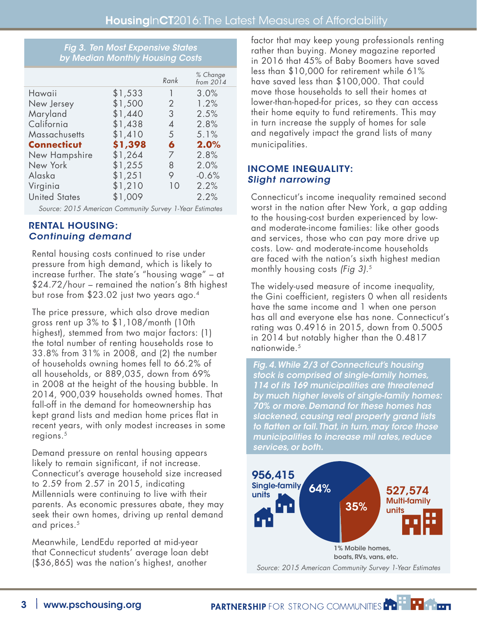#### *Fig 3. Ten Most Expensive States by Median Monthly Housing Costs*

|                      |         | Rank           | % Change<br>from 2014 |
|----------------------|---------|----------------|-----------------------|
| Hawaii               | \$1,533 | 1              | 3.0%                  |
| New Jersey           | \$1,500 | $\overline{2}$ | 1.2%                  |
| Maryland             | \$1,440 | 3              | 2.5%                  |
| California           | \$1,438 | 4              | 2.8%                  |
| Massachusetts        | \$1,410 | 5              | 5.1%                  |
| <b>Connecticut</b>   | \$1,398 | 6              | 2.0%                  |
| New Hampshire        | \$1,264 | 7              | 2.8%                  |
| New York             | \$1,255 | 8              | 2.0%                  |
| Alaska               | \$1,251 | 9              | $-0.6%$               |
| Virginia             | \$1,210 | 10             | 2.2%                  |
| <b>United States</b> | \$1,009 |                | 2.2%                  |

*Source: 2015 American Community Survey 1-Year Estimates*

### Rental Housing: Continuing demand

Rental housing costs continued to rise under pressure from high demand, which is likely to increase further. The state's "housing wage" – at \$24.72/hour – remained the nation's 8th highest but rose from \$23.02 just two years ago.4

The price pressure, which also drove median gross rent up 3% to \$1,108/month (10th highest), stemmed from two major factors: (1) the total number of renting households rose to 33.8% from 31% in 2008, and (2) the number of households owning homes fell to 66.2% of all households, or 889,035, down from 69% in 2008 at the height of the housing bubble. In 2014, 900,039 households owned homes. That fall-off in the demand for homeownership has kept grand lists and median home prices flat in recent years, with only modest increases in some regions.5

Demand pressure on rental housing appears likely to remain significant, if not increase. Connecticut's average household size increased to 2.59 from 2.57 in 2015, indicating Millennials were continuing to live with their parents. As economic pressures abate, they may seek their own homes, driving up rental demand and prices.<sup>5</sup>

Meanwhile, LendEdu reported at mid-year that Connecticut students' average loan debt (\$36,865) was the nation's highest, another

factor that may keep young professionals renting rather than buying. Money magazine reported in 2016 that 45% of Baby Boomers have saved less than \$10,000 for retirement while 61% have saved less than \$100,000. That could move those households to sell their homes at lower-than-hoped-for prices, so they can access their home equity to fund retirements. This may in turn increase the supply of homes for sale and negatively impact the grand lists of many municipalities.

# Income Inequality: Slight narrowing

Connecticut's income inequality remained second worst in the nation after New York, a gap adding to the housing-cost burden experienced by lowand moderate-income families: like other goods and services, those who can pay more drive up costs. Low- and moderate-income households are faced with the nation's sixth highest median monthly housing costs *(Fig 3)*.5

The widely-used measure of income inequality, the Gini coefficient, registers 0 when all residents have the same income and 1 when one person has all and everyone else has none. Connecticut's rating was 0.4916 in 2015, down from 0.5005 in 2014 but notably higher than the 0.4817 nationwide.<sup>5</sup>

*Fig. 4. While 2/3 of Connecticut's housing stock is comprised of single-family homes, 114 of its 169 municipalities are threatened by much higher levels of single-family homes: 70% or more. Demand for these homes has slackened, causing real property grand lists to flatten or fall. That, in turn, may force those municipalities to increase mil rates, reduce services, or both.*



PARTNERSHIP FOR STRONG COMMUNITIES FOR THE PRIME